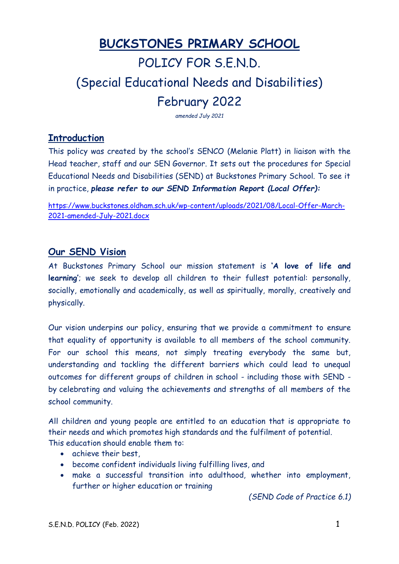# **BUCKSTONES PRIMARY SCHOOL** POLICY FOR S.F.N.D. (Special Educational Needs and Disabilities) February 2022

*amended July 2021*

#### **Introduction**

This policy was created by the school's SENCO (Melanie Platt) in liaison with the Head teacher, staff and our SEN Governor. It sets out the procedures for Special Educational Needs and Disabilities (SEND) at Buckstones Primary School. To see it in practice, *please refer to our SEND Information Report (Local Offer):*

[https://www.buckstones.oldham.sch.uk/wp-content/uploads/2021/08/Local-Offer-March-](https://www.buckstones.oldham.sch.uk/wp-content/uploads/2021/08/Local-Offer-March-2021-amended-July-2021.docx)[2021-amended-July-2021.docx](https://www.buckstones.oldham.sch.uk/wp-content/uploads/2021/08/Local-Offer-March-2021-amended-July-2021.docx)

## **Our SEND Vision**

At Buckstones Primary School our mission statement is **'A love of life and learning'**; we seek to develop all children to their fullest potential: personally, socially, emotionally and academically, as well as spiritually, morally, creatively and physically.

Our vision underpins our policy, ensuring that we provide a commitment to ensure that equality of opportunity is available to all members of the school community. For our school this means, not simply treating everybody the same but, understanding and tackling the different barriers which could lead to unequal outcomes for different groups of children in school - including those with SEND by celebrating and valuing the achievements and strengths of all members of the school community.

All children and young people are entitled to an education that is appropriate to their needs and which promotes high standards and the fulfilment of potential. This education should enable them to:

- achieve their best,
- become confident individuals living fulfilling lives, and
- make a successful transition into adulthood, whether into employment, further or higher education or training

*(SEND Code of Practice 6.1)*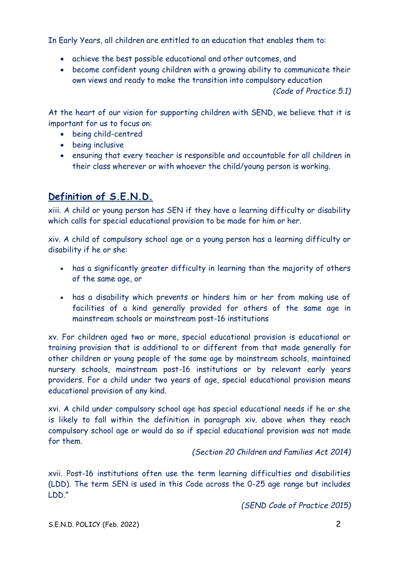In Early Years, all children are entitled to an education that enables them to:

- achieve the best possible educational and other outcomes, and
- become confident young children with a growing ability to communicate their own views and ready to make the transition into compulsory education

*(Code of Practice 5.1)*

At the heart of our vision for supporting children with SEND, we believe that it is important for us to focus on:

- being child-centred
- being inclusive
- ensuring that every teacher is responsible and accountable for all children in their class wherever or with whoever the child/young person is working.

# **Definition of S.E.N.D.**

xiii. A child or young person has SEN if they have a learning difficulty or disability which calls for special educational provision to be made for him or her.

xiv. A child of compulsory school age or a young person has a learning difficulty or disability if he or she:

- has a significantly greater difficulty in learning than the majority of others of the same age, or
- has a disability which prevents or hinders him or her from making use of facilities of a kind generally provided for others of the same age in mainstream schools or mainstream post-16 institutions

xv. For children aged two or more, special educational provision is educational or training provision that is additional to or different from that made generally for other children or young people of the same age by mainstream schools, maintained nursery schools, mainstream post-16 institutions or by relevant early years providers. For a child under two years of age, special educational provision means educational provision of any kind.

xvi. A child under compulsory school age has special educational needs if he or she is likely to fall within the definition in paragraph xiv. above when they reach compulsory school age or would do so if special educational provision was not made for them.

*(Section 20 Children and Families Act 2014)*

xvii. Post-16 institutions often use the term learning difficulties and disabilities (LDD). The term SEN is used in this Code across the 0-25 age range but includes LDD."

*(SEND Code of Practice 2015)*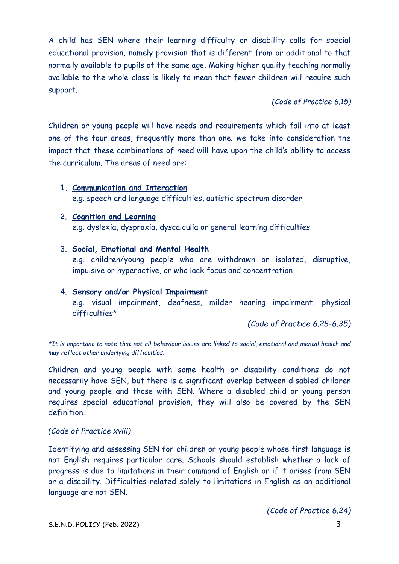A child has SEN where their learning difficulty or disability calls for special educational provision, namely provision that is different from or additional to that normally available to pupils of the same age. Making higher quality teaching normally available to the whole class is likely to mean that fewer children will require such support.

*(Code of Practice 6.15)*

Children or young people will have needs and requirements which fall into at least one of the four areas, frequently more than one. we take into consideration the impact that these combinations of need will have upon the child's ability to access the curriculum. The areas of need are:

- **1. Communication and Interaction** e.g. speech and language difficulties, autistic spectrum disorder
- 2. **Cognition and Learning** e.g. dyslexia, dyspraxia, dyscalculia or general learning difficulties
- 3. **Social, Emotional and Mental Health** e.g. children/young people who are withdrawn or isolated, disruptive, impulsive or hyperactive, or who lack focus and concentration

#### 4. **Sensory and/or Physical Impairment**

e.g. visual impairment, deafness, milder hearing impairment, physical difficulties\*

*(Code of Practice 6.28-6.35)*

*\*It is important to note that not all behaviour issues are linked to social, emotional and mental health and may reflect other underlying difficulties.*

Children and young people with some health or disability conditions do not necessarily have SEN, but there is a significant overlap between disabled children and young people and those with SEN. Where a disabled child or young person requires special educational provision, they will also be covered by the SEN definition.

#### *(Code of Practice xviii)*

Identifying and assessing SEN for children or young people whose first language is not English requires particular care. Schools should establish whether a lack of progress is due to limitations in their command of English or if it arises from SEN or a disability. Difficulties related solely to limitations in English as an additional language are not SEN.

*(Code of Practice 6.24)*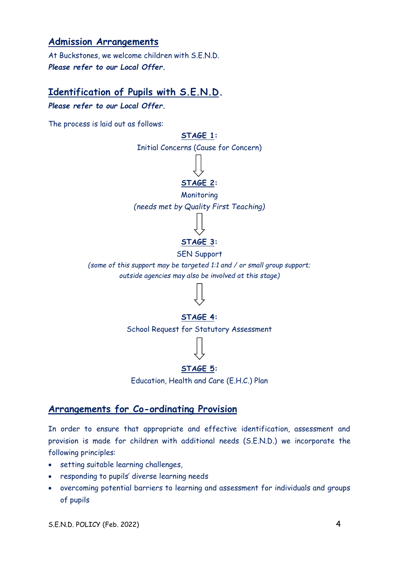#### **Admission Arrangements**

At Buckstones, we welcome children with S.E.N.D. *Please refer to our Local Offer.*

# **Identification of Pupils with S.E.N.D.**

*Please refer to our Local Offer.*

The process is laid out as follows:

#### **STAGE 1:**

Initial Concerns (Cause for Concern)

#### **STAGE 2:**

Monitoring

*(needs met by Quality First Teaching)*



#### **STAGE 3:**

#### SEN Support

*(some of this support may be targeted 1:1 and / or small group support; outside agencies may also be involved at this stage)*

#### **STAGE 4:**

School Request for Statutory Assessment

# **STAGE 5:**

Education, Health and Care (E.H.C.) Plan

# **Arrangements for Co-ordinating Provision**

In order to ensure that appropriate and effective identification, assessment and provision is made for children with additional needs (S.E.N.D.) we incorporate the following principles:

- setting suitable learning challenges,
- responding to pupils' diverse learning needs
- overcoming potential barriers to learning and assessment for individuals and groups of pupils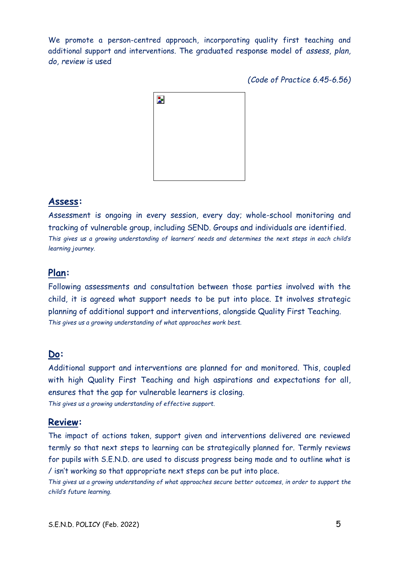We promote a person-centred approach, incorporating quality first teaching and additional support and interventions. The graduated response model of *assess, plan, do, review* is used

*(Code of Practice 6.45-6.56)*



## **Assess:**

Assessment is ongoing in every session, every day; whole-school monitoring and tracking of vulnerable group, including SEND. Groups and individuals are identified. *This gives us a growing understanding of learners' needs and determines the next steps in each child's learning journey.*

# **Plan:**

Following assessments and consultation between those parties involved with the child, it is agreed what support needs to be put into place. It involves strategic planning of additional support and interventions, alongside Quality First Teaching. *This gives us a growing understanding of what approaches work best.*

# **Do:**

Additional support and interventions are planned for and monitored. This, coupled with high Quality First Teaching and high aspirations and expectations for all, ensures that the gap for vulnerable learners is closing. *This gives us a growing understanding of effective support.*

#### **Review:**

The impact of actions taken, support given and interventions delivered are reviewed termly so that next steps to learning can be strategically planned for. Termly reviews for pupils with S.E.N.D. are used to discuss progress being made and to outline what is / isn't working so that appropriate next steps can be put into place.

*This gives us a growing understanding of what approaches secure better outcomes, in order to support the child's future learning.*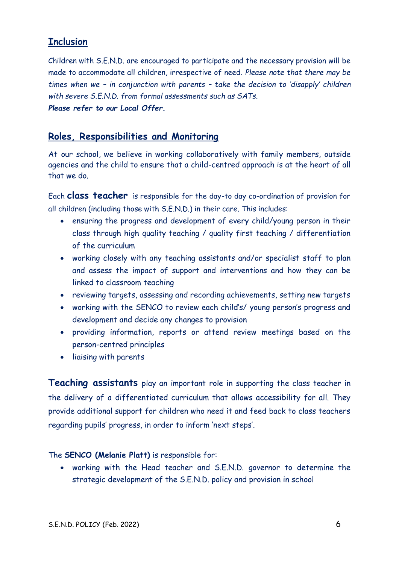# **Inclusion**

Children with S.E.N.D. are encouraged to participate and the necessary provision will be made to accommodate all children, irrespective of need. *Please note that there may be times when we – in conjunction with parents – take the decision to 'disapply' children with severe S.E.N.D. from formal assessments such as SATs. Please refer to our Local Offer.*

# **Roles, Responsibilities and Monitoring**

At our school, we believe in working collaboratively with family members, outside agencies and the child to ensure that a child-centred approach is at the heart of all that we do.

Each **class teacher** is responsible for the day-to day co-ordination of provision for all children (including those with S.E.N.D.) in their care. This includes:

- ensuring the progress and development of every child/young person in their class through high quality teaching / quality first teaching / differentiation of the curriculum
- working closely with any teaching assistants and/or specialist staff to plan and assess the impact of support and interventions and how they can be linked to classroom teaching
- reviewing targets, assessing and recording achievements, setting new targets
- working with the SENCO to review each child's/ young person's progress and development and decide any changes to provision
- providing information, reports or attend review meetings based on the person-centred principles
- liaising with parents

**Teaching assistants** play an important role in supporting the class teacher in the delivery of a differentiated curriculum that allows accessibility for all. They provide additional support for children who need it and feed back to class teachers regarding pupils' progress, in order to inform 'next steps'.

#### The **SENCO (Melanie Platt)** is responsible for:

• working with the Head teacher and S.E.N.D. governor to determine the strategic development of the S.E.N.D. policy and provision in school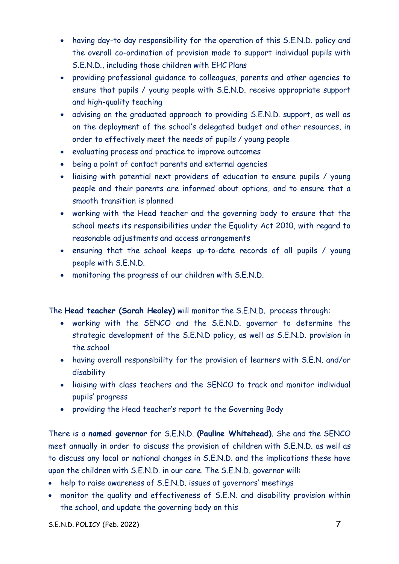- having day-to day responsibility for the operation of this S.E.N.D. policy and the overall co-ordination of provision made to support individual pupils with S.E.N.D., including those children with EHC Plans
- providing professional guidance to colleagues, parents and other agencies to ensure that pupils / young people with S.E.N.D. receive appropriate support and high-quality teaching
- advising on the graduated approach to providing S.E.N.D. support, as well as on the deployment of the school's delegated budget and other resources, in order to effectively meet the needs of pupils / young people
- evaluating process and practice to improve outcomes
- being a point of contact parents and external agencies
- liaising with potential next providers of education to ensure pupils / young people and their parents are informed about options, and to ensure that a smooth transition is planned
- working with the Head teacher and the governing body to ensure that the school meets its responsibilities under the Equality Act 2010, with regard to reasonable adjustments and access arrangements
- ensuring that the school keeps up-to-date records of all pupils / young people with S.E.N.D.
- monitoring the progress of our children with S.E.N.D.

The **Head teacher (Sarah Healey)** will monitor the S.E.N.D. process through:

- working with the SENCO and the S.E.N.D. governor to determine the strategic development of the S.E.N.D policy, as well as S.E.N.D. provision in the school
- having overall responsibility for the provision of learners with S.E.N. and/or disability
- liaising with class teachers and the SENCO to track and monitor individual pupils' progress
- providing the Head teacher's report to the Governing Body

There is a **named governor** for S.E.N.D. **(Pauline Whitehead)**. She and the SENCO meet annually in order to discuss the provision of children with S.E.N.D. as well as to discuss any local or national changes in S.E.N.D. and the implications these have upon the children with S.E.N.D. in our care. The S.E.N.D. governor will:

- help to raise awareness of S.E.N.D. issues at governors' meetings
- monitor the quality and effectiveness of S.E.N. and disability provision within the school, and update the governing body on this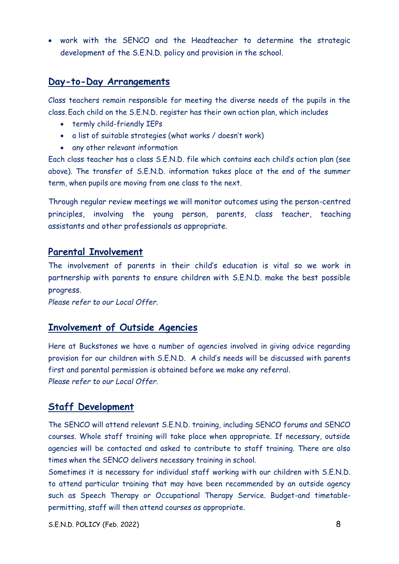• work with the SENCO and the Headteacher to determine the strategic development of the S.E.N.D. policy and provision in the school.

# **Day-to-Day Arrangements**

Class teachers remain responsible for meeting the diverse needs of the pupils in the class. Each child on the S.E.N.D. register has their own action plan, which includes

- termly child-friendly IEPs
- a list of suitable strategies (what works / doesn't work)
- any other relevant information

Each class teacher has a class S.E.N.D. file which contains each child's action plan (see above). The transfer of S.E.N.D. information takes place at the end of the summer term, when pupils are moving from one class to the next.

Through regular review meetings we will monitor outcomes using the person-centred principles, involving the young person, parents, class teacher, teaching assistants and other professionals as appropriate.

## **Parental Involvement**

The involvement of parents in their child's education is vital so we work in partnership with parents to ensure children with S.E.N.D. make the best possible progress.

*Please refer to our Local Offer.*

# **Involvement of Outside Agencies**

Here at Buckstones we have a number of agencies involved in giving advice regarding provision for our children with S.E.N.D. A child's needs will be discussed with parents first and parental permission is obtained before we make any referral. *Please refer to our Local Offer.*

#### **Staff Development**

The SENCO will attend relevant S.E.N.D. training, including SENCO forums and SENCO courses. Whole staff training will take place when appropriate. If necessary, outside agencies will be contacted and asked to contribute to staff training. There are also times when the SENCO delivers necessary training in school.

Sometimes it is necessary for individual staff working with our children with S.E.N.D. to attend particular training that may have been recommended by an outside agency such as Speech Therapy or Occupational Therapy Service. Budget-and timetablepermitting, staff will then attend courses as appropriate.

S.E.N.D. POLICY (Feb. 2022) 8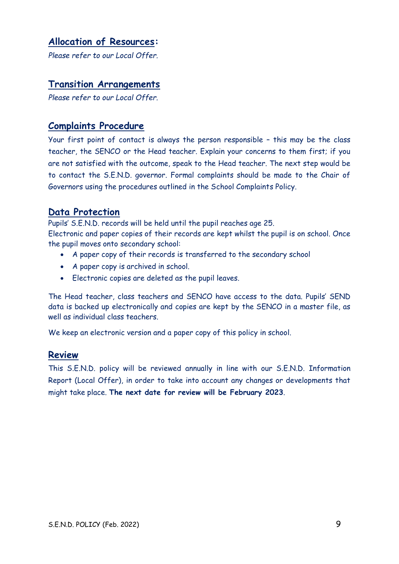# **Allocation of Resources:**

*Please refer to our Local Offer.*

# **Transition Arrangements**

*Please refer to our Local Offer.*

# **Complaints Procedure**

Your first point of contact is always the person responsible – this may be the class teacher, the SENCO or the Head teacher. Explain your concerns to them first; if you are not satisfied with the outcome, speak to the Head teacher. The next step would be to contact the S.E.N.D. governor. Formal complaints should be made to the Chair of Governors using the procedures outlined in the School Complaints Policy.

#### **Data Protection**

Pupils' S.E.N.D. records will be held until the pupil reaches age 25.

Electronic and paper copies of their records are kept whilst the pupil is on school. Once the pupil moves onto secondary school:

- A paper copy of their records is transferred to the secondary school
- A paper copy is archived in school.
- Electronic copies are deleted as the pupil leaves.

The Head teacher, class teachers and SENCO have access to the data. Pupils' SEND data is backed up electronically and copies are kept by the SENCO in a master file, as well as individual class teachers.

We keep an electronic version and a paper copy of this policy in school.

#### **Review**

This S.E.N.D. policy will be reviewed annually in line with our S.E.N.D. Information Report (Local Offer), in order to take into account any changes or developments that might take place. **The next date for review will be February 2023**.